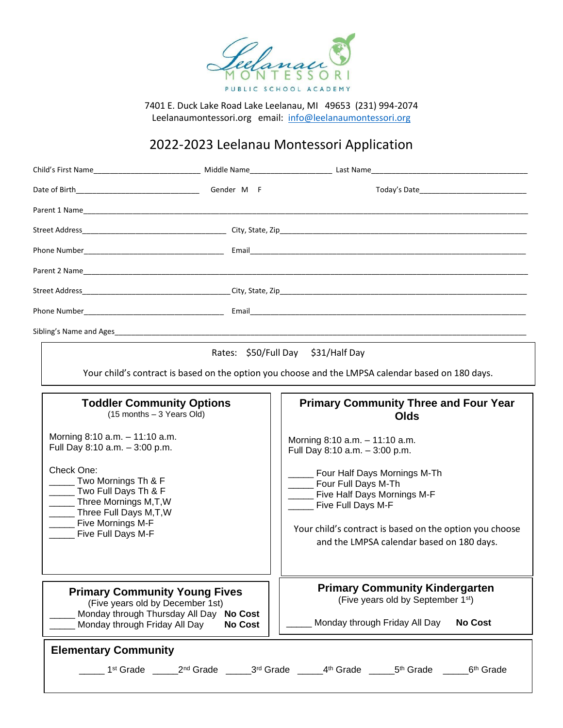

7401 E. Duck Lake Road Lake Leelanau, MI 49653 (231) 994-2074 Leelanaumontessori.org email: [info@leelanaumontessori.org](mailto:info@leelanaumontessori.org)

# 2022-2023 Leelanau Montessori Application

|                                                                                                                                                                                                                                                         |                | Rates: \$50/Full Day \$31/Half Day<br>Your child's contract is based on the option you choose and the LMPSA calendar based on 180 days.                                                                                                                                                                      |
|---------------------------------------------------------------------------------------------------------------------------------------------------------------------------------------------------------------------------------------------------------|----------------|--------------------------------------------------------------------------------------------------------------------------------------------------------------------------------------------------------------------------------------------------------------------------------------------------------------|
| <b>Toddler Community Options</b><br>$(15$ months $-3$ Years Old)                                                                                                                                                                                        |                | <b>Primary Community Three and Four Year</b><br>Olds                                                                                                                                                                                                                                                         |
| Morning $8:10$ a.m. $-11:10$ a.m.<br>Full Day 8:10 a.m. - 3:00 p.m.<br>Check One:<br>______ Two Mornings Th & F<br>Two Full Days Th & F<br>______ Three Mornings M,T,W<br>_____ Three Full Days M,T,W<br>______ Five Mornings M-F<br>Five Full Days M-F |                | Morning 8:10 a.m. - 11:10 a.m.<br>Full Day 8:10 a.m. - 3:00 p.m.<br>_____ Four Half Days Mornings M-Th<br>_____ Four Full Days M-Th<br>_____ Five Half Days Mornings M-F<br>_____ Five Full Days M-F<br>Your child's contract is based on the option you choose<br>and the LMPSA calendar based on 180 days. |
| <b>Primary Community Young Fives</b><br>(Five years old by December 1st)<br>Monday through Thursday All Day No Cost<br>Monday through Friday All Day                                                                                                    | <b>No Cost</b> | <b>Primary Community Kindergarten</b><br>(Five years old by September 1st)<br>Monday through Friday All Day<br><b>No Cost</b>                                                                                                                                                                                |
| <b>Elementary Community</b>                                                                                                                                                                                                                             |                | __ 1 <sup>st</sup> Grade ______2 <sup>nd</sup> Grade ______3 <sup>rd</sup> Grade ______4 <sup>th</sup> Grade ______5 <sup>th</sup> Grade ______6 <sup>th</sup> Grade                                                                                                                                         |